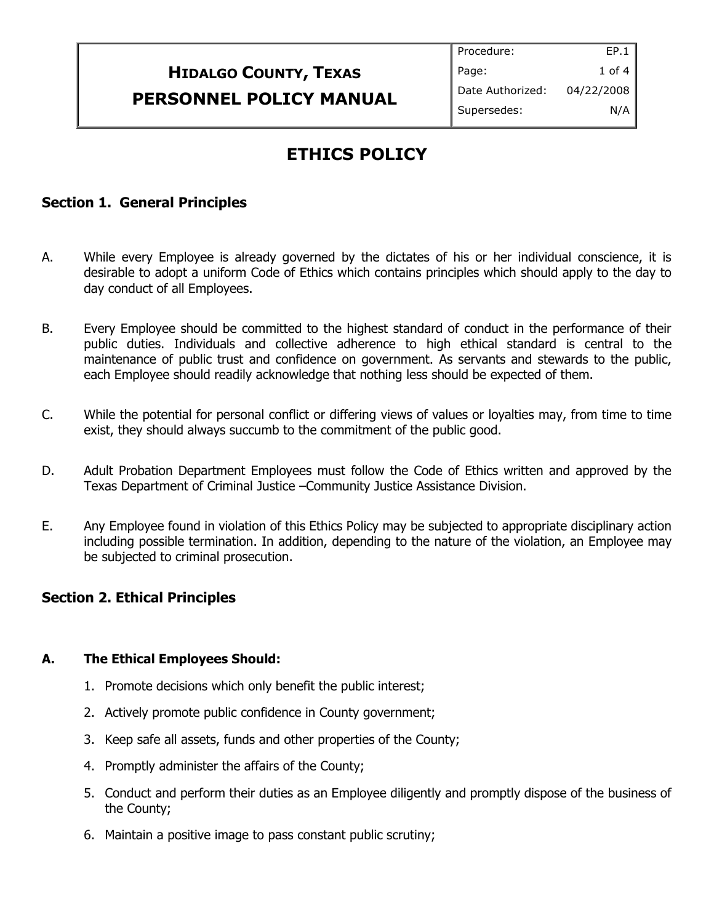# **HIDALGO COUNTY, TEXAS PERSONNEL POLICY MANUAL**

# **ETHICS POLICY**

## **Section 1. General Principles**

- A. While every Employee is already governed by the dictates of his or her individual conscience, it is desirable to adopt a uniform Code of Ethics which contains principles which should apply to the day to day conduct of all Employees.
- B. Every Employee should be committed to the highest standard of conduct in the performance of their public duties. Individuals and collective adherence to high ethical standard is central to the maintenance of public trust and confidence on government. As servants and stewards to the public, each Employee should readily acknowledge that nothing less should be expected of them.
- C. While the potential for personal conflict or differing views of values or loyalties may, from time to time exist, they should always succumb to the commitment of the public good.
- D. Adult Probation Department Employees must follow the Code of Ethics written and approved by the Texas Department of Criminal Justice –Community Justice Assistance Division.
- E. Any Employee found in violation of this Ethics Policy may be subjected to appropriate disciplinary action including possible termination. In addition, depending to the nature of the violation, an Employee may be subjected to criminal prosecution.

## **Section 2. Ethical Principles**

#### **A. The Ethical Employees Should:**

- 1. Promote decisions which only benefit the public interest;
- 2. Actively promote public confidence in County government;
- 3. Keep safe all assets, funds and other properties of the County;
- 4. Promptly administer the affairs of the County;
- 5. Conduct and perform their duties as an Employee diligently and promptly dispose of the business of the County;
- 6. Maintain a positive image to pass constant public scrutiny;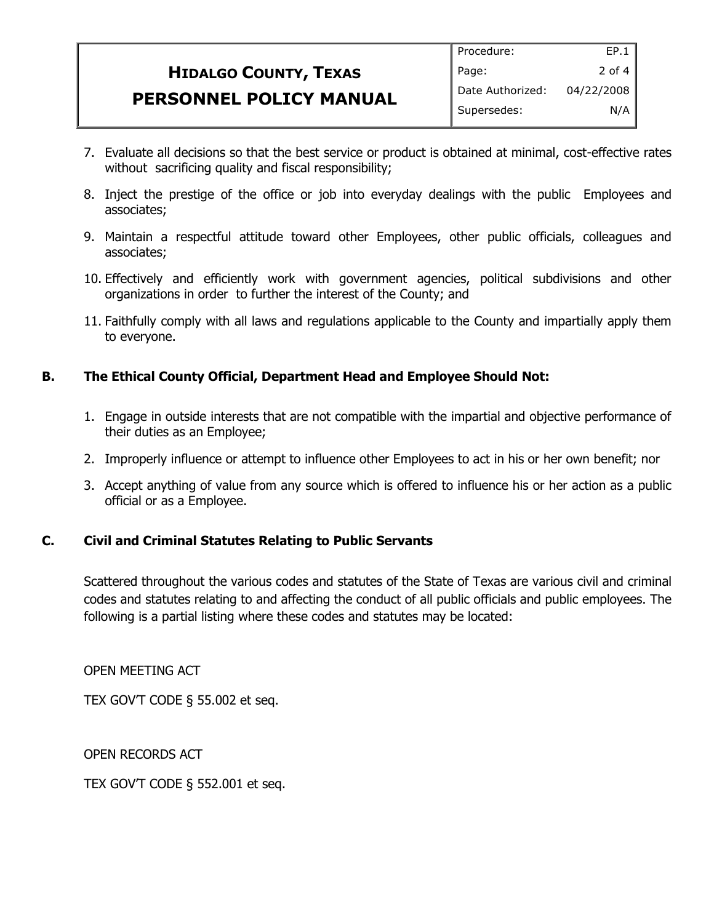# **HIDALGO COUNTY, TEXAS PERSONNEL POLICY MANUAL**

- 7. Evaluate all decisions so that the best service or product is obtained at minimal, cost-effective rates without sacrificing quality and fiscal responsibility;
- 8. Inject the prestige of the office or job into everyday dealings with the public Employees and associates;
- 9. Maintain a respectful attitude toward other Employees, other public officials, colleagues and associates;
- 10. Effectively and efficiently work with government agencies, political subdivisions and other organizations in order to further the interest of the County; and
- 11. Faithfully comply with all laws and regulations applicable to the County and impartially apply them to everyone.

## **B. The Ethical County Official, Department Head and Employee Should Not:**

- 1. Engage in outside interests that are not compatible with the impartial and objective performance of their duties as an Employee;
- 2. Improperly influence or attempt to influence other Employees to act in his or her own benefit; nor
- 3. Accept anything of value from any source which is offered to influence his or her action as a public official or as a Employee.

## **C. Civil and Criminal Statutes Relating to Public Servants**

Scattered throughout the various codes and statutes of the State of Texas are various civil and criminal codes and statutes relating to and affecting the conduct of all public officials and public employees. The following is a partial listing where these codes and statutes may be located:

OPEN MEETING ACT

TEX GOV'T CODE § 55.002 et seq.

OPEN RECORDS ACT

TEX GOV'T CODE § 552.001 et seq.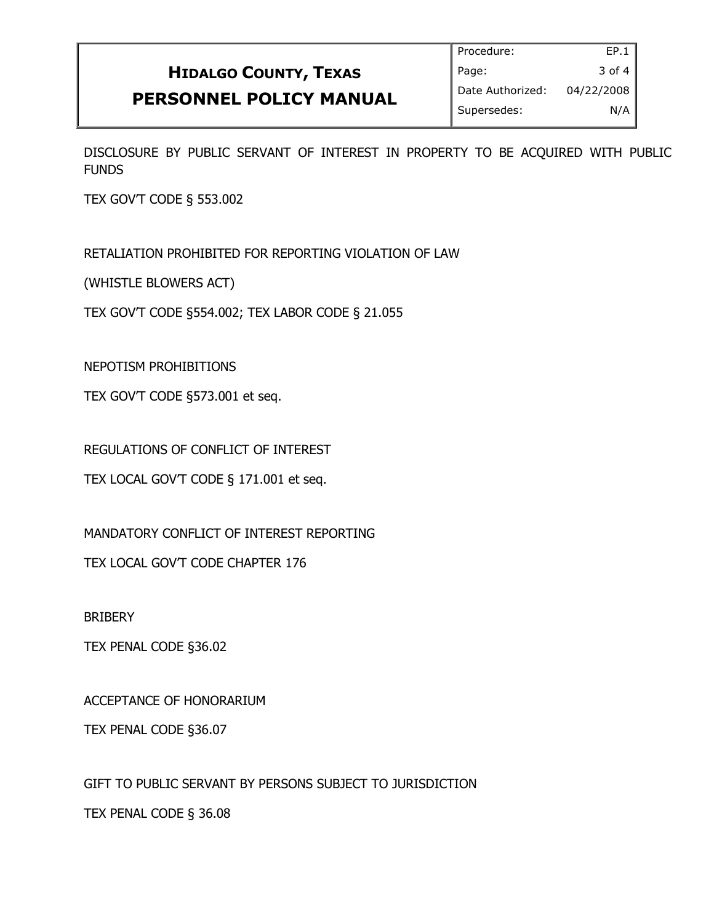# **HIDALGO COUNTY, TEXAS PERSONNEL POLICY MANUAL**

DISCLOSURE BY PUBLIC SERVANT OF INTEREST IN PROPERTY TO BE ACQUIRED WITH PUBLIC FUNDS

TEX GOV'T CODE § 553.002

RETALIATION PROHIBITED FOR REPORTING VIOLATION OF LAW

(WHISTLE BLOWERS ACT)

TEX GOV'T CODE §554.002; TEX LABOR CODE § 21.055

NEPOTISM PROHIBITIONS

TEX GOV'T CODE §573.001 et seq.

REGULATIONS OF CONFLICT OF INTEREST

TEX LOCAL GOV'T CODE § 171.001 et seq.

MANDATORY CONFLICT OF INTEREST REPORTING

TEX LOCAL GOV'T CODE CHAPTER 176

**BRIBERY** 

TEX PENAL CODE §36.02

ACCEPTANCE OF HONORARIUM

TEX PENAL CODE §36.07

GIFT TO PUBLIC SERVANT BY PERSONS SUBJECT TO JURISDICTION

TEX PENAL CODE § 36.08